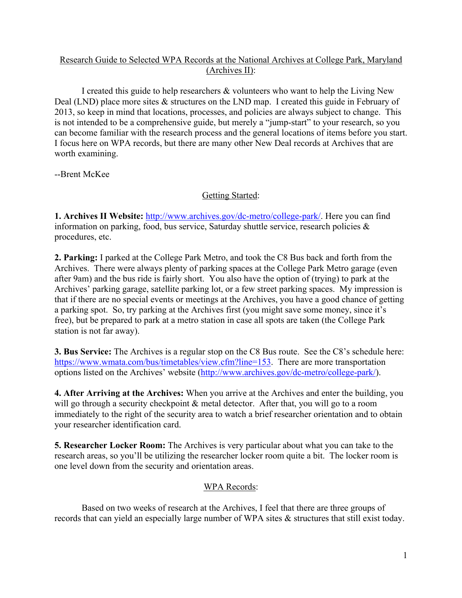## Research Guide to Selected WPA Records at the National Archives at College Park, Maryland (Archives II):

I created this guide to help researchers & volunteers who want to help the Living New Deal (LND) place more sites  $\&$  structures on the LND map. I created this guide in February of 2013, so keep in mind that locations, processes, and policies are always subject to change. This is not intended to be a comprehensive guide, but merely a "jump-start" to your research, so you can become familiar with the research process and the general locations of items before you start. I focus here on WPA records, but there are many other New Deal records at Archives that are worth examining.

--Brent McKee

# Getting Started:

**1. Archives II Website:** http://www.archives.gov/dc-metro/college-park/. Here you can find information on parking, food, bus service, Saturday shuttle service, research policies & procedures, etc.

**2. Parking:** I parked at the College Park Metro, and took the C8 Bus back and forth from the Archives. There were always plenty of parking spaces at the College Park Metro garage (even after 9am) and the bus ride is fairly short. You also have the option of (trying) to park at the Archives' parking garage, satellite parking lot, or a few street parking spaces. My impression is that if there are no special events or meetings at the Archives, you have a good chance of getting a parking spot. So, try parking at the Archives first (you might save some money, since it's free), but be prepared to park at a metro station in case all spots are taken (the College Park station is not far away).

**3. Bus Service:** The Archives is a regular stop on the C8 Bus route. See the C8's schedule here: https://www.wmata.com/bus/timetables/view.cfm?line=153. There are more transportation options listed on the Archives' website (http://www.archives.gov/dc-metro/college-park/).

**4. After Arriving at the Archives:** When you arrive at the Archives and enter the building, you will go through a security checkpoint  $\&$  metal detector. After that, you will go to a room immediately to the right of the security area to watch a brief researcher orientation and to obtain your researcher identification card.

**5. Researcher Locker Room:** The Archives is very particular about what you can take to the research areas, so you'll be utilizing the researcher locker room quite a bit. The locker room is one level down from the security and orientation areas.

## WPA Records:

Based on two weeks of research at the Archives, I feel that there are three groups of records that can yield an especially large number of WPA sites & structures that still exist today.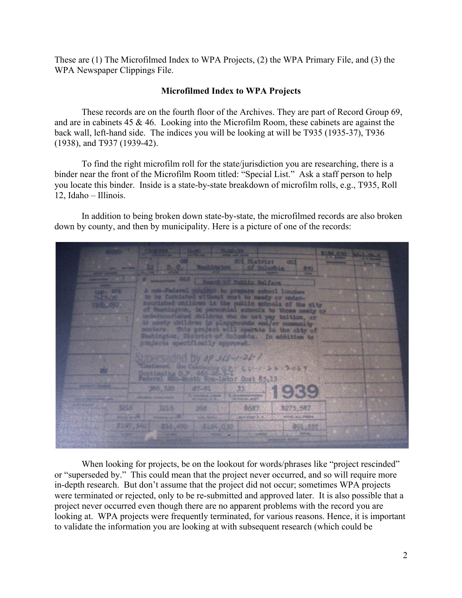These are (1) The Microfilmed Index to WPA Projects, (2) the WPA Primary File, and (3) the WPA Newspaper Clippings File.

#### **Microfilmed Index to WPA Projects**

These records are on the fourth floor of the Archives. They are part of Record Group 69, and are in cabinets 45 & 46. Looking into the Microfilm Room, these cabinets are against the back wall, left-hand side. The indices you will be looking at will be T935 (1935-37), T936 (1938), and T937 (1939-42).

To find the right microfilm roll for the state/jurisdiction you are researching, there is a binder near the front of the Microfilm Room titled: "Special List." Ask a staff person to help you locate this binder. Inside is a state-by-state breakdown of microfilm rolls, e.g., T935, Roll 12, Idaho – Illinois.

In addition to being broken down state-by-state, the microfilmed records are also broken down by county, and then by municipality. Here is a picture of one of the records:

District **Ob1** of Public Balfara ot to prepare achool lunches i without cost to needy or underrished children in the public schools of the sity undernourlaned children who do not pay tuition, or to meety children in playgrounds sod/or commanity Washington, District of Columbia. In addition to projects specifically approved. **FORESADO DV OP 315-1-26-1**  $15 - 7 - 26 - 3069$ W stimping O **Cost 85,13** 87-91 386,520 3316 8687 3216 \$275,587 268 FORE IN P. 8387 641 816,490 8184 030 491,557

When looking for projects, be on the lookout for words/phrases like "project rescinded" or "superseded by." This could mean that the project never occurred, and so will require more in-depth research. But don't assume that the project did not occur; sometimes WPA projects were terminated or rejected, only to be re-submitted and approved later. It is also possible that a project never occurred even though there are no apparent problems with the record you are looking at. WPA projects were frequently terminated, for various reasons. Hence, it is important to validate the information you are looking at with subsequent research (which could be